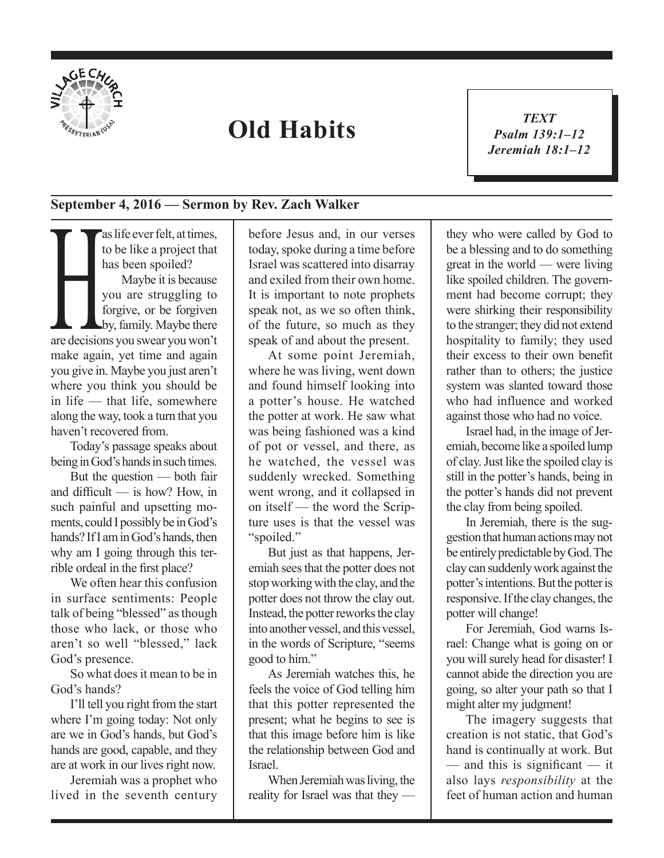

## **Old Habits**

*TEXT Psalm 139:1–12 Jeremiah 18:1–12* 1

## **September 4, 2016 — Sermon by Rev. Zach Walker**

as life ever felt, at times,<br>to be like a project that<br>has been spoiled?<br>Maybe it is because<br>you are struggling to<br>forgive, or be forgiven<br>by, family. Maybe there<br>are decisions you swear you won't to be like a project that has been spoiled? Maybe it is because you are struggling to forgive, or be forgiven by, family. Maybe there make again, yet time and again you give in. Maybe you just aren't where you think you should be in life — that life, somewhere along the way, took a turn that you haven't recovered from.

Today's passage speaks about being in God's hands in such times.

But the question — both fair and difficult — is how? How, in such painful and upsetting moments, could I possibly be in God's hands? If I am in God's hands, then why am I going through this terrible ordeal in the first place?

We often hear this confusion in surface sentiments: People talk of being "blessed" as though those who lack, or those who aren't so well "blessed," lack God's presence.

So what does it mean to be in God's hands?

I'll tell you right from the start where I'm going today: Not only are we in God's hands, but God's hands are good, capable, and they are at work in our lives right now.

Jeremiah was a prophet who lived in the seventh century before Jesus and, in our verses today, spoke during a time before Israel was scattered into disarray and exiled from their own home. It is important to note prophets speak not, as we so often think, of the future, so much as they speak of and about the present.

At some point Jeremiah, where he was living, went down and found himself looking into a potter's house. He watched the potter at work. He saw what was being fashioned was a kind of pot or vessel, and there, as he watched, the vessel was suddenly wrecked. Something went wrong, and it collapsed in on itself — the word the Scripture uses is that the vessel was "spoiled."

But just as that happens, Jeremiah sees that the potter does not stop working with the clay, and the potter does not throw the clay out. Instead, the potter reworks the clay into another vessel, and this vessel, in the words of Scripture, "seems good to him."

As Jeremiah watches this, he feels the voice of God telling him that this potter represented the present; what he begins to see is that this image before him is like the relationship between God and Israel.

When Jeremiah was living, the reality for Israel was that they — they who were called by God to be a blessing and to do something great in the world — were living like spoiled children. The government had become corrupt; they were shirking their responsibility to the stranger; they did not extend hospitality to family; they used their excess to their own benefit rather than to others; the justice system was slanted toward those who had influence and worked against those who had no voice.

Israel had, in the image of Jeremiah, become like a spoiled lump of clay. Just like the spoiled clay is still in the potter's hands, being in the potter's hands did not prevent the clay from being spoiled.

In Jeremiah, there is the suggestion that human actions may not be entirely predictable by God. The clay can suddenly work against the potter's intentions. But the potter is responsive. If the clay changes, the potter will change!

For Jeremiah, God warns Israel: Change what is going on or you will surely head for disaster! I cannot abide the direction you are going, so alter your path so that I might alter my judgment!

The imagery suggests that creation is not static, that God's hand is continually at work. But — and this is significant — it also lays *responsibility* at the feet of human action and human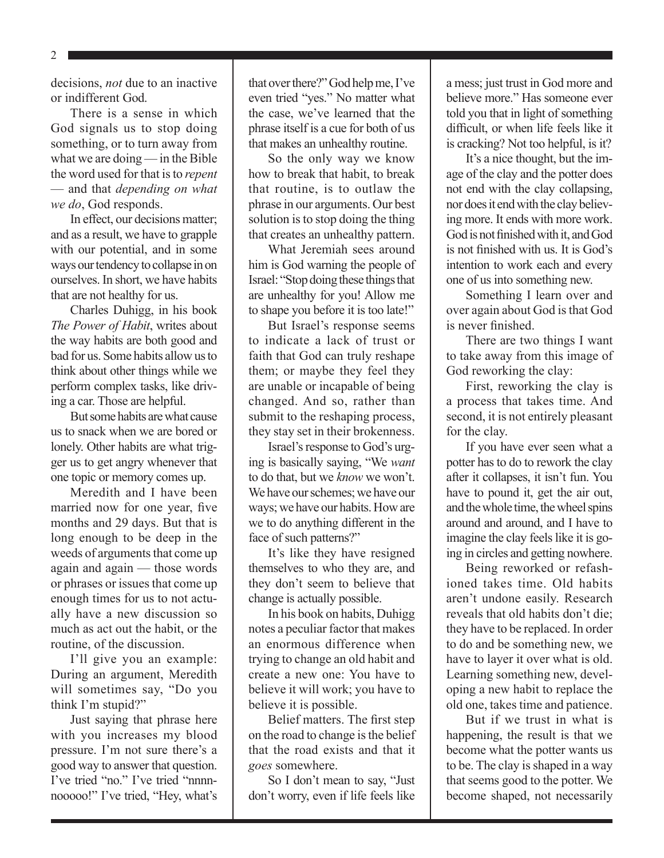2

decisions, *not* due to an inactive or indifferent God.

There is a sense in which God signals us to stop doing something, or to turn away from what we are doing — in the Bible the word used for that is to *repent* — and that *depending on what we do*, God responds.

In effect, our decisions matter; and as a result, we have to grapple with our potential, and in some ways our tendency to collapse in on ourselves. In short, we have habits that are not healthy for us.

Charles Duhigg, in his book *The Power of Habit*, writes about the way habits are both good and bad for us. Some habits allow us to think about other things while we perform complex tasks, like driving a car. Those are helpful.

But some habits are what cause us to snack when we are bored or lonely. Other habits are what trigger us to get angry whenever that one topic or memory comes up.

Meredith and I have been married now for one year, five months and 29 days. But that is long enough to be deep in the weeds of arguments that come up again and again — those words or phrases or issues that come up enough times for us to not actually have a new discussion so much as act out the habit, or the routine, of the discussion.

I'll give you an example: During an argument, Meredith will sometimes say, "Do you think I'm stupid?"

Just saying that phrase here with you increases my blood pressure. I'm not sure there's a good way to answer that question. I've tried "no." I've tried "nnnnnooooo!" I've tried, "Hey, what's that over there?" God help me, I've even tried "yes." No matter what the case, we've learned that the phrase itself is a cue for both of us that makes an unhealthy routine.

So the only way we know how to break that habit, to break that routine, is to outlaw the phrase in our arguments. Our best solution is to stop doing the thing that creates an unhealthy pattern.

What Jeremiah sees around him is God warning the people of Israel: "Stop doing these things that are unhealthy for you! Allow me to shape you before it is too late!"

But Israel's response seems to indicate a lack of trust or faith that God can truly reshape them; or maybe they feel they are unable or incapable of being changed. And so, rather than submit to the reshaping process, they stay set in their brokenness.

Israel's response to God's urging is basically saying, "We *want* to do that, but we *know* we won't. We have our schemes; we have our ways; we have our habits. How are we to do anything different in the face of such patterns?"

It's like they have resigned themselves to who they are, and they don't seem to believe that change is actually possible.

In his book on habits, Duhigg notes a peculiar factor that makes an enormous difference when trying to change an old habit and create a new one: You have to believe it will work; you have to believe it is possible.

Belief matters. The first step on the road to change is the belief that the road exists and that it *goes* somewhere.

So I don't mean to say, "Just don't worry, even if life feels like a mess; just trust in God more and believe more." Has someone ever told you that in light of something difficult, or when life feels like it is cracking? Not too helpful, is it?

It's a nice thought, but the image of the clay and the potter does not end with the clay collapsing, nor does it end with the clay believing more. It ends with more work. God is not finished with it, and God is not finished with us. It is God's intention to work each and every one of us into something new.

Something I learn over and over again about God is that God is never finished.

There are two things I want to take away from this image of God reworking the clay:

First, reworking the clay is a process that takes time. And second, it is not entirely pleasant for the clay.

If you have ever seen what a potter has to do to rework the clay after it collapses, it isn't fun. You have to pound it, get the air out, and the whole time, the wheel spins around and around, and I have to imagine the clay feels like it is going in circles and getting nowhere.

Being reworked or refashioned takes time. Old habits aren't undone easily. Research reveals that old habits don't die; they have to be replaced. In order to do and be something new, we have to layer it over what is old. Learning something new, developing a new habit to replace the old one, takes time and patience.

But if we trust in what is happening, the result is that we become what the potter wants us to be. The clay is shaped in a way that seems good to the potter. We become shaped, not necessarily